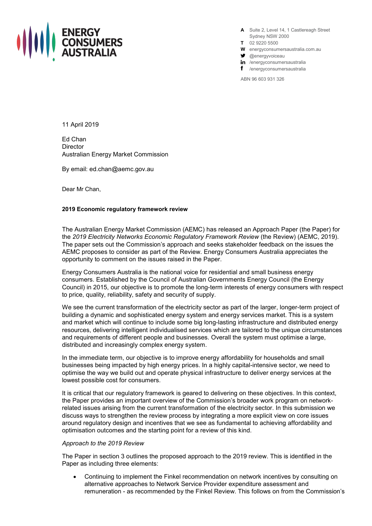

**A** Suite 2, Level 14, 1 Castlereagh Street Sydney NSW 2000

- **T** 02 9220 5500
- **W** energyconsumersaustralia.com.au
- $\bullet$  @energyvoiceau
- in /energyconsumersaustralia
- f /energyconsumersaustralia

ABN 96 603 931 326

11 April 2019

Ed Chan **Director** Australian Energy Market Commission

By email: ed.chan@aemc.gov.au

Dear Mr Chan,

### **2019 Economic regulatory framework review**

The Australian Energy Market Commission (AEMC) has released an Approach Paper (the Paper) for the *2019 Electricity Networks Economic Regulatory Framework Review* (the Review) (AEMC, 2019). The paper sets out the Commission's approach and seeks stakeholder feedback on the issues the AEMC proposes to consider as part of the Review. Energy Consumers Australia appreciates the opportunity to comment on the issues raised in the Paper.

Energy Consumers Australia is the national voice for residential and small business energy consumers. Established by the Council of Australian Governments Energy Council (the Energy Council) in 2015, our objective is to promote the long-term interests of energy consumers with respect to price, quality, reliability, safety and security of supply.

We see the current transformation of the electricity sector as part of the larger, longer-term project of building a dynamic and sophisticated energy system and energy services market. This is a system and market which will continue to include some big long-lasting infrastructure and distributed energy resources, delivering intelligent individualised services which are tailored to the unique circumstances and requirements of different people and businesses. Overall the system must optimise a large, distributed and increasingly complex energy system.

In the immediate term, our objective is to improve energy affordability for households and small businesses being impacted by high energy prices. In a highly capital-intensive sector, we need to optimise the way we build out and operate physical infrastructure to deliver energy services at the lowest possible cost for consumers.

It is critical that our regulatory framework is geared to delivering on these objectives. In this context, the Paper provides an important overview of the Commission's broader work program on networkrelated issues arising from the current transformation of the electricity sector. In this submission we discuss ways to strengthen the review process by integrating a more explicit view on core issues around regulatory design and incentives that we see as fundamental to achieving affordability and optimisation outcomes and the starting point for a review of this kind.

#### *Approach to the 2019 Review*

The Paper in section 3 outlines the proposed approach to the 2019 review. This is identified in the Paper as including three elements:

• Continuing to implement the Finkel recommendation on network incentives by consulting on alternative approaches to Network Service Provider expenditure assessment and remuneration - as recommended by the Finkel Review. This follows on from the Commission's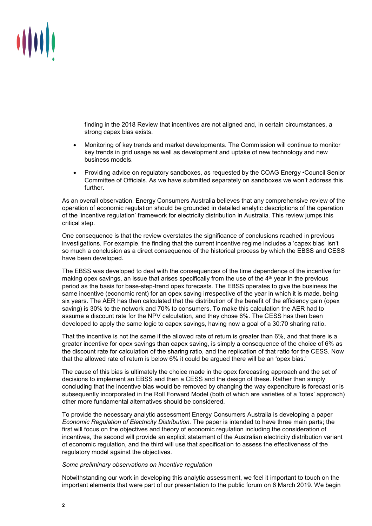

finding in the 2018 Review that incentives are not aligned and, in certain circumstances, a strong capex bias exists.

- Monitoring of key trends and market developments. The Commission will continue to monitor key trends in grid usage as well as development and uptake of new technology and new business models.
- Providing advice on regulatory sandboxes, as requested by the COAG Energy •Council Senior Committee of Officials. As we have submitted separately on sandboxes we won't address this further.

As an overall observation, Energy Consumers Australia believes that any comprehensive review of the operation of economic regulation should be grounded in detailed analytic descriptions of the operation of the 'incentive regulation' framework for electricity distribution in Australia. This review jumps this critical step.

One consequence is that the review overstates the significance of conclusions reached in previous investigations. For example, the finding that the current incentive regime includes a 'capex bias' isn't so much a conclusion as a direct consequence of the historical process by which the EBSS and CESS have been developed.

The EBSS was developed to deal with the consequences of the time dependence of the incentive for making opex savings, an issue that arises specifically from the use of the  $4<sup>th</sup>$  year in the previous period as the basis for base-step-trend opex forecasts. The EBSS operates to give the business the same incentive (economic rent) for an opex saving irrespective of the year in which it is made, being six years. The AER has then calculated that the distribution of the benefit of the efficiency gain (opex saving) is 30% to the network and 70% to consumers. To make this calculation the AER had to assume a discount rate for the NPV calculation, and they chose 6%. The CESS has then been developed to apply the same logic to capex savings, having now a goal of a 30:70 sharing ratio.

That the incentive is not the same if the allowed rate of return is greater than 6%, and that there is a greater incentive for opex savings than capex saving, is simply a consequence of the choice of 6% as the discount rate for calculation of the sharing ratio, and the replication of that ratio for the CESS. Now that the allowed rate of return is below 6% it could be argued there will be an 'opex bias.'

The cause of this bias is ultimately the choice made in the opex forecasting approach and the set of decisions to implement an EBSS and then a CESS and the design of these. Rather than simply concluding that the incentive bias would be removed by changing the way expenditure is forecast or is subsequently incorporated in the Roll Forward Model (both of which are varieties of a 'totex' approach) other more fundamental alternatives should be considered.

To provide the necessary analytic assessment Energy Consumers Australia is developing a paper *Economic Regulation of Electricity Distribution.* The paper is intended to have three main parts; the first will focus on the objectives and theory of economic regulation including the consideration of incentives, the second will provide an explicit statement of the Australian electricity distribution variant of economic regulation, and the third will use that specification to assess the effectiveness of the regulatory model against the objectives.

# *Some preliminary observations on incentive regulation*

Notwithstanding our work in developing this analytic assessment, we feel it important to touch on the important elements that were part of our presentation to the public forum on 6 March 2019. We begin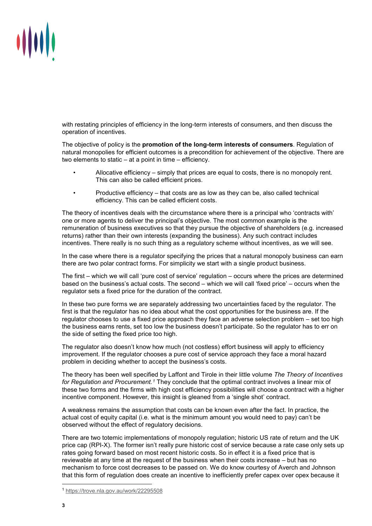

with restating principles of efficiency in the long-term interests of consumers, and then discuss the operation of incentives.

The objective of policy is the **promotion of the long-term interests of consumers**. Regulation of natural monopolies for efficient outcomes is a precondition for achievement of the objective. There are two elements to static – at a point in time – efficiency.

- Allocative efficiency simply that prices are equal to costs, there is no monopoly rent. This can also be called efficient prices.
- Productive efficiency that costs are as low as they can be, also called technical efficiency. This can be called efficient costs.

The theory of incentives deals with the circumstance where there is a principal who 'contracts with' one or more agents to deliver the principal's objective. The most common example is the remuneration of business executives so that they pursue the objective of shareholders (e.g. increased returns) rather than their own interests (expanding the business). Any such contract includes incentives. There really is no such thing as a regulatory scheme without incentives, as we will see.

In the case where there is a regulator specifying the prices that a natural monopoly business can earn there are two polar contract forms. For simplicity we start with a single product business.

The first – which we will call 'pure cost of service' regulation – occurs where the prices are determined based on the business's actual costs. The second – which we will call 'fixed price' – occurs when the regulator sets a fixed price for the duration of the contract.

In these two pure forms we are separately addressing two uncertainties faced by the regulator. The first is that the regulator has no idea about what the cost opportunities for the business are. If the regulator chooses to use a fixed price approach they face an adverse selection problem – set too high the business earns rents, set too low the business doesn't participate. So the regulator has to err on the side of setting the fixed price too high.

The regulator also doesn't know how much (not costless) effort business will apply to efficiency improvement. If the regulator chooses a pure cost of service approach they face a moral hazard problem in deciding whether to accept the business's costs.

The theory has been well specified by Laffont and Tirole in their little volume *The Theory of Incentives for Regulation and Procurement.[1](#page-2-0)* They conclude that the optimal contract involves a linear mix of these two forms and the firms with high cost efficiency possibilities will choose a contract with a higher incentive component. However, this insight is gleaned from a 'single shot' contract.

A weakness remains the assumption that costs can be known even after the fact. In practice, the actual cost of equity capital (i.e. what is the minimum amount you would need to pay) can't be observed without the effect of regulatory decisions.

There are two totemic implementations of monopoly regulation; historic US rate of return and the UK price cap (RPI-X). The former isn't really pure historic cost of service because a rate case only sets up rates going forward based on most recent historic costs. So in effect it is a fixed price that is reviewable at any time at the request of the business when their costs increase – but has no mechanism to force cost decreases to be passed on. We do know courtesy of Averch and Johnson that this form of regulation does create an incentive to inefficiently prefer capex over opex because it

<span id="page-2-0"></span> <sup>1</sup> <https://trove.nla.gov.au/work/22295508>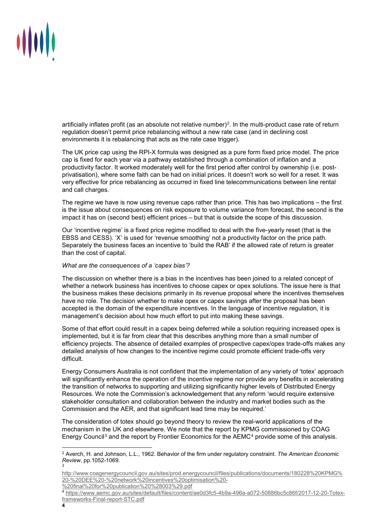

artificially inflates profit (as an absolute not relative number)[2.](#page-3-0) In the multi-product case rate of return regulation doesn't permit price rebalancing without a new rate case (and in declining cost environments it is rebalancing that acts as the rate case trigger).

The UK price cap using the RPI-X formula was designed as a pure form fixed price model. The price cap is fixed for each year via a pathway established through a combination of inflation and a productivity factor. It worked moderately well for the first period after control by ownership (i.e. postprivatisation), where some faith can be had on initial prices. It doesn't work so well for a reset. It was very effective for price rebalancing as occurred in fixed line telecommunications between line rental and call charges.

The regime we have is now using revenue caps rather than price. This has two implications – the first is the issue about consequences on risk exposure to volume variance from forecast, the second is the impact it has on (second best) efficient prices – but that is outside the scope of this discussion.

Our 'incentive regime' is a fixed price regime modified to deal with the five-yearly reset (that is the EBSS and CESS). 'X' is used for 'revenue smoothing' not a productivity factor on the price path. Separately the business faces an incentive to 'build the RAB' if the allowed rate of return is greater than the cost of capital.

# *What are the consequences of a 'capex bias'?*

The discussion on whether there is a bias in the incentives has been joined to a related concept of whether a network business has incentives to choose capex or opex solutions. The issue here is that the business makes these decisions primarily in its revenue proposal where the incentives themselves have no role. The decision whether to make opex or capex savings after the proposal has been accepted is the domain of the expenditure incentives. In the language of incentive regulation, it is management's decision about how much effort to put into making these savings.

Some of that effort could result in a capex being deferred while a solution requiring increased opex is implemented, but it is far from clear that this describes anything more than a small number of efficiency projects. The absence of detailed examples of prospective capex/opex trade-offs makes any detailed analysis of how changes to the incentive regime could promote efficient trade-offs very difficult.

Energy Consumers Australia is not confident that the implementation of any variety of 'totex' approach will significantly enhance the operation of the incentive regime nor provide any benefits in accelerating the transition of networks to supporting and utilizing significantly higher levels of Distributed Energy Resources. We note the Commission's acknowledgement that any reform 'would require extensive stakeholder consultation and collaboration between the industry and market bodies such as the Commission and the AER, and that significant lead time may be required.'

The consideration of totex should go beyond theory to review the real-world applications of the mechanism in the UK and elsewhere. We note that the report by KPMG commissioned by COAG Energy Council<sup>[3](#page-3-1)</sup> and the report by Frontier Economics for the  $AEMC<sup>4</sup>$  $AEMC<sup>4</sup>$  $AEMC<sup>4</sup>$  provide some of this analysis.

<span id="page-3-0"></span> <sup>2</sup> Averch, H. and Johnson, L.L., 1962. Behavior of the firm under regulatory constraint. *The American Economic Review*, pp.1052-1069. 3

<span id="page-3-1"></span>[http://www.coagenergycouncil.gov.au/sites/prod.energycouncil/files/publications/documents/180228%20KPMG%](http://www.coagenergycouncil.gov.au/sites/prod.energycouncil/files/publications/documents/180228%20KPMG%20-%20DEE%20-%20network%20incentives%20optimisation%20-%20final%20for%20publication%20%28003%29.pdf) [20-%20DEE%20-%20network%20incentives%20optimisation%20-](http://www.coagenergycouncil.gov.au/sites/prod.energycouncil/files/publications/documents/180228%20KPMG%20-%20DEE%20-%20network%20incentives%20optimisation%20-%20final%20for%20publication%20%28003%29.pdf) [%20final%20for%20publication%20%28003%29.pdf](http://www.coagenergycouncil.gov.au/sites/prod.energycouncil/files/publications/documents/180228%20KPMG%20-%20DEE%20-%20network%20incentives%20optimisation%20-%20final%20for%20publication%20%28003%29.pdf)

<span id="page-3-2"></span><sup>4</sup> [https://www.aemc.gov.au/sites/default/files/content/ae0d3fc5-4b9a-496a-a072-50886bc5c86f/2017-12-20-Totex](https://www.aemc.gov.au/sites/default/files/content/ae0d3fc5-4b9a-496a-a072-50886bc5c86f/2017-12-20-Totex-frameworks-Final-report-STC.pdf)[frameworks-Final-report-STC.pdf](https://www.aemc.gov.au/sites/default/files/content/ae0d3fc5-4b9a-496a-a072-50886bc5c86f/2017-12-20-Totex-frameworks-Final-report-STC.pdf)